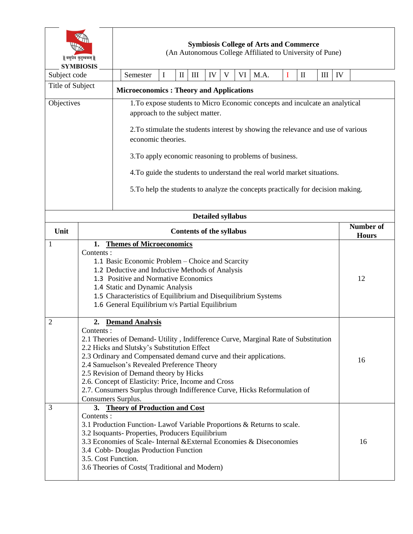| वसुधैव कुटुम्बकम्   <br><b>SYMBIOSIS</b> |                                                                                                                                                                                                                                                                                                                                                                                                                                                                                              | <b>Symbiosis College of Arts and Commerce</b><br>(An Autonomous College Affiliated to University of Pune)                                                                                                                                                                                                                                                                                                                                             |          |   |              |                    |    |   |    |      |          |                                  |     |    |  |
|------------------------------------------|----------------------------------------------------------------------------------------------------------------------------------------------------------------------------------------------------------------------------------------------------------------------------------------------------------------------------------------------------------------------------------------------------------------------------------------------------------------------------------------------|-------------------------------------------------------------------------------------------------------------------------------------------------------------------------------------------------------------------------------------------------------------------------------------------------------------------------------------------------------------------------------------------------------------------------------------------------------|----------|---|--------------|--------------------|----|---|----|------|----------|----------------------------------|-----|----|--|
| Subject code                             |                                                                                                                                                                                                                                                                                                                                                                                                                                                                                              |                                                                                                                                                                                                                                                                                                                                                                                                                                                       | Semester | I | $\mathbf{I}$ | $\mathop{\rm III}$ | IV | V | VI | M.A. | $\bf{I}$ | $\mathbf{I}$                     | III | IV |  |
| Title of Subject                         |                                                                                                                                                                                                                                                                                                                                                                                                                                                                                              | <b>Microeconomics: Theory and Applications</b>                                                                                                                                                                                                                                                                                                                                                                                                        |          |   |              |                    |    |   |    |      |          |                                  |     |    |  |
| Objectives                               |                                                                                                                                                                                                                                                                                                                                                                                                                                                                                              | 1. To expose students to Micro Economic concepts and inculcate an analytical<br>approach to the subject matter.<br>2. To stimulate the students interest by showing the relevance and use of various<br>economic theories.<br>3. To apply economic reasoning to problems of business.<br>4. To guide the students to understand the real world market situations.<br>5. To help the students to analyze the concepts practically for decision making. |          |   |              |                    |    |   |    |      |          |                                  |     |    |  |
| <b>Detailed syllabus</b>                 |                                                                                                                                                                                                                                                                                                                                                                                                                                                                                              |                                                                                                                                                                                                                                                                                                                                                                                                                                                       |          |   |              |                    |    |   |    |      |          |                                  |     |    |  |
| Unit                                     |                                                                                                                                                                                                                                                                                                                                                                                                                                                                                              | <b>Contents of the syllabus</b>                                                                                                                                                                                                                                                                                                                                                                                                                       |          |   |              |                    |    |   |    |      |          | <b>Number of</b><br><b>Hours</b> |     |    |  |
| 1                                        | Contents :                                                                                                                                                                                                                                                                                                                                                                                                                                                                                   | <b>Themes of Microeconomics</b><br>1.<br>1.1 Basic Economic Problem – Choice and Scarcity<br>1.2 Deductive and Inductive Methods of Analysis<br>1.3 Positive and Normative Economics<br>1.4 Static and Dynamic Analysis<br>1.5 Characteristics of Equilibrium and Disequilibrium Systems<br>1.6 General Equilibrium v/s Partial Equilibrium                                                                                                           |          |   |              |                    |    |   |    |      |          | 12                               |     |    |  |
| 2                                        | 2. Demand Analysis<br>Contents :<br>2.1 Theories of Demand- Utility, Indifference Curve, Marginal Rate of Substitution<br>2.2 Hicks and Slutsky's Substitution Effect<br>2.3 Ordinary and Compensated demand curve and their applications.<br>2.4 Samuelson's Revealed Preference Theory<br>2.5 Revision of Demand theory by Hicks<br>2.6. Concept of Elasticity: Price, Income and Cross<br>2.7. Consumers Surplus through Indifference Curve, Hicks Reformulation of<br>Consumers Surplus. |                                                                                                                                                                                                                                                                                                                                                                                                                                                       |          |   |              |                    |    |   |    | 16   |          |                                  |     |    |  |
| 3                                        | 3. Theory of Production and Cost<br>Contents:<br>3.1 Production Function-Lawof Variable Proportions & Returns to scale.<br>3.2 Isoquants- Properties, Producers Equilibrium<br>3.3 Economies of Scale-Internal & External Economies & Diseconomies<br>3.4 Cobb- Douglas Production Function<br>3.5. Cost Function.<br>3.6 Theories of Costs(Traditional and Modern)                                                                                                                          |                                                                                                                                                                                                                                                                                                                                                                                                                                                       |          |   |              |                    |    |   |    | 16   |          |                                  |     |    |  |